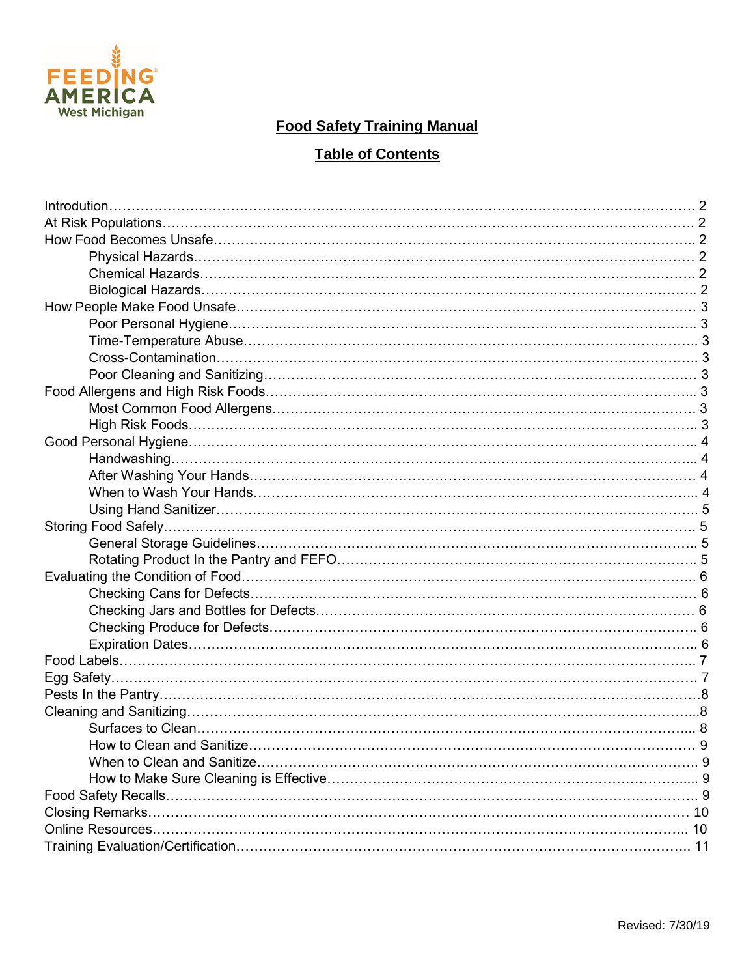

## **Food Safety Training Manual**

# **Table of Contents**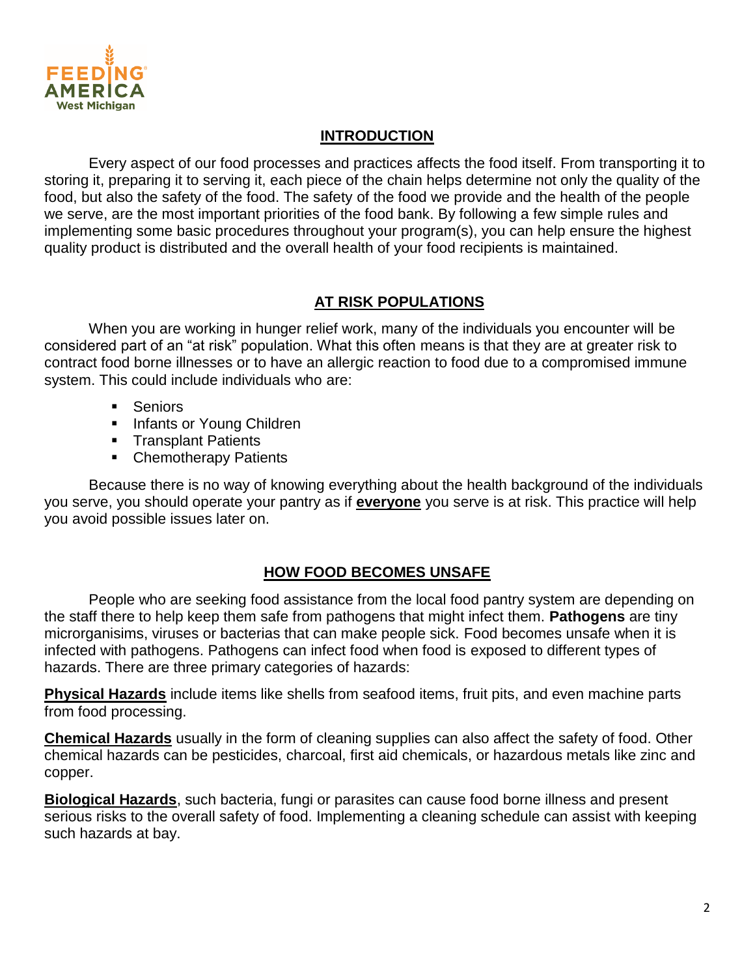

### **INTRODUCTION**

Every aspect of our food processes and practices affects the food itself. From transporting it to storing it, preparing it to serving it, each piece of the chain helps determine not only the quality of the food, but also the safety of the food. The safety of the food we provide and the health of the people we serve, are the most important priorities of the food bank. By following a few simple rules and implementing some basic procedures throughout your program(s), you can help ensure the highest quality product is distributed and the overall health of your food recipients is maintained.

#### **AT RISK POPULATIONS**

When you are working in hunger relief work, many of the individuals you encounter will be considered part of an "at risk" population. What this often means is that they are at greater risk to contract food borne illnesses or to have an allergic reaction to food due to a compromised immune system. This could include individuals who are:

- **Seniors**
- **Infants or Young Children**
- **Transplant Patients**
- Chemotherapy Patients

Because there is no way of knowing everything about the health background of the individuals you serve, you should operate your pantry as if **everyone** you serve is at risk. This practice will help you avoid possible issues later on.

#### **HOW FOOD BECOMES UNSAFE**

People who are seeking food assistance from the local food pantry system are depending on the staff there to help keep them safe from pathogens that might infect them. **Pathogens** are tiny microrganisims, viruses or bacterias that can make people sick. Food becomes unsafe when it is infected with pathogens. Pathogens can infect food when food is exposed to different types of hazards. There are three primary categories of hazards:

**Physical Hazards** include items like shells from seafood items, fruit pits, and even machine parts from food processing.

**Chemical Hazards** usually in the form of cleaning supplies can also affect the safety of food. Other chemical hazards can be pesticides, charcoal, first aid chemicals, or hazardous metals like zinc and copper.

**Biological Hazards**, such bacteria, fungi or parasites can cause food borne illness and present serious risks to the overall safety of food. Implementing a cleaning schedule can assist with keeping such hazards at bay.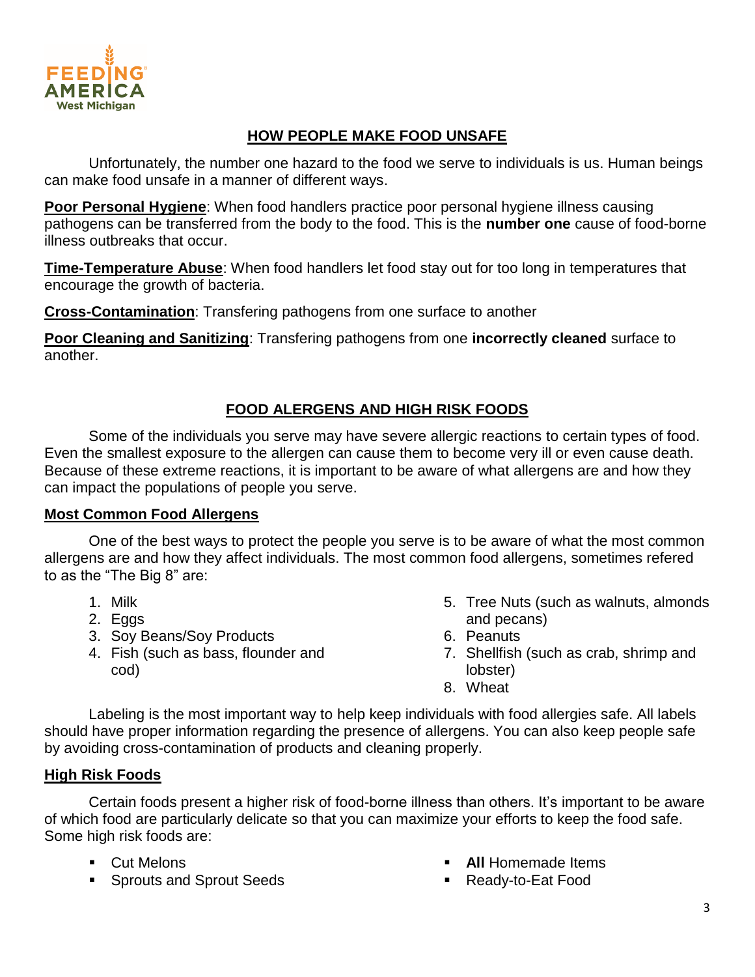

### **HOW PEOPLE MAKE FOOD UNSAFE**

Unfortunately, the number one hazard to the food we serve to individuals is us. Human beings can make food unsafe in a manner of different ways.

**Poor Personal Hygiene**: When food handlers practice poor personal hygiene illness causing pathogens can be transferred from the body to the food. This is the **number one** cause of food-borne illness outbreaks that occur.

**Time-Temperature Abuse**: When food handlers let food stay out for too long in temperatures that encourage the growth of bacteria.

**Cross-Contamination**: Transfering pathogens from one surface to another

**Poor Cleaning and Sanitizing**: Transfering pathogens from one **incorrectly cleaned** surface to another.

## **FOOD ALERGENS AND HIGH RISK FOODS**

Some of the individuals you serve may have severe allergic reactions to certain types of food. Even the smallest exposure to the allergen can cause them to become very ill or even cause death. Because of these extreme reactions, it is important to be aware of what allergens are and how they can impact the populations of people you serve.

#### **Most Common Food Allergens**

One of the best ways to protect the people you serve is to be aware of what the most common allergens are and how they affect individuals. The most common food allergens, sometimes refered to as the "The Big 8" are:

- 1. Milk
- 2. Eggs
- 3. Soy Beans/Soy Products
- 4. Fish (such as bass, flounder and cod)
- 5. Tree Nuts (such as walnuts, almonds and pecans)
- 6. Peanuts
- 7. Shellfish (such as crab, shrimp and lobster)
- 8. Wheat

Labeling is the most important way to help keep individuals with food allergies safe. All labels should have proper information regarding the presence of allergens. You can also keep people safe by avoiding cross-contamination of products and cleaning properly.

#### **High Risk Foods**

Certain foods present a higher risk of food-borne illness than others. It's important to be aware of which food are particularly delicate so that you can maximize your efforts to keep the food safe. Some high risk foods are:

- **Cut Melons**
- **Sprouts and Sprout Seeds**
- **All** Homemade Items
- Ready-to-Eat Food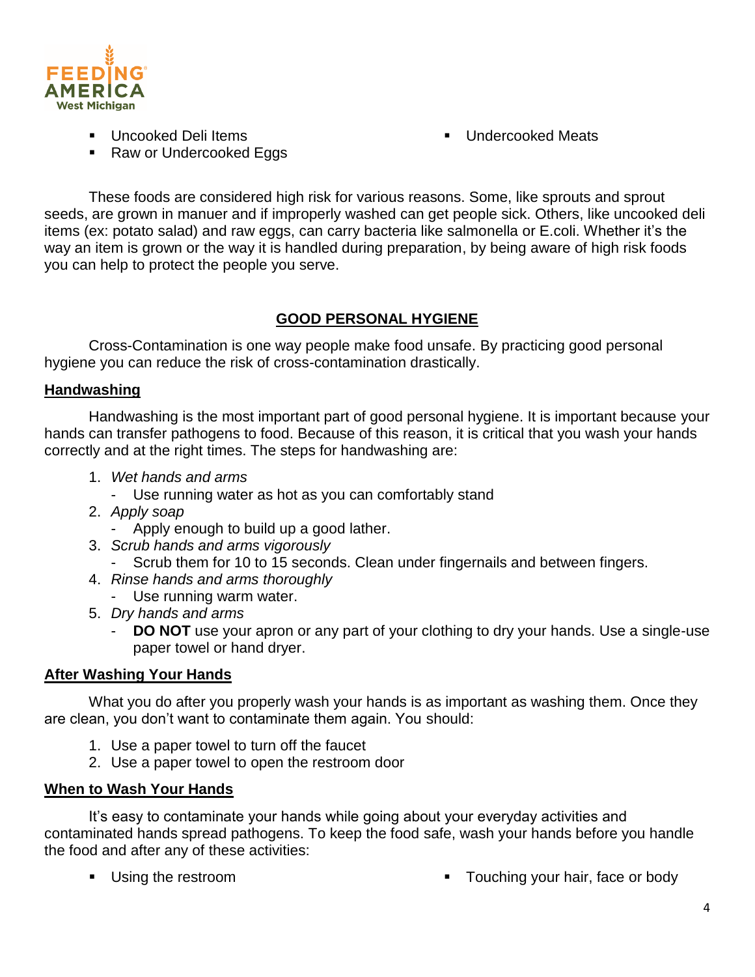

- **Uncooked Deli Items**
- Raw or Undercooked Eggs

**Undercooked Meats** 

These foods are considered high risk for various reasons. Some, like sprouts and sprout seeds, are grown in manuer and if improperly washed can get people sick. Others, like uncooked deli items (ex: potato salad) and raw eggs, can carry bacteria like salmonella or E.coli. Whether it's the way an item is grown or the way it is handled during preparation, by being aware of high risk foods you can help to protect the people you serve.

## **GOOD PERSONAL HYGIENE**

Cross-Contamination is one way people make food unsafe. By practicing good personal hygiene you can reduce the risk of cross-contamination drastically.

### **Handwashing**

Handwashing is the most important part of good personal hygiene. It is important because your hands can transfer pathogens to food. Because of this reason, it is critical that you wash your hands correctly and at the right times. The steps for handwashing are:

- 1. *Wet hands and arms*
	- Use running water as hot as you can comfortably stand
- 2. *Apply soap*
	- Apply enough to build up a good lather.
- 3. *Scrub hands and arms vigorously*
	- Scrub them for 10 to 15 seconds. Clean under fingernails and between fingers.
- 4. *Rinse hands and arms thoroughly*
	- Use running warm water.
- 5. *Dry hands and arms*
	- **DO NOT** use your apron or any part of your clothing to dry your hands. Use a single-use paper towel or hand dryer.

#### **After Washing Your Hands**

What you do after you properly wash your hands is as important as washing them. Once they are clean, you don't want to contaminate them again. You should:

- 1. Use a paper towel to turn off the faucet
- 2. Use a paper towel to open the restroom door

#### **When to Wash Your Hands**

It's easy to contaminate your hands while going about your everyday activities and contaminated hands spread pathogens. To keep the food safe, wash your hands before you handle the food and after any of these activities:

- 
- Using the restroom **Touching your hair, face or body**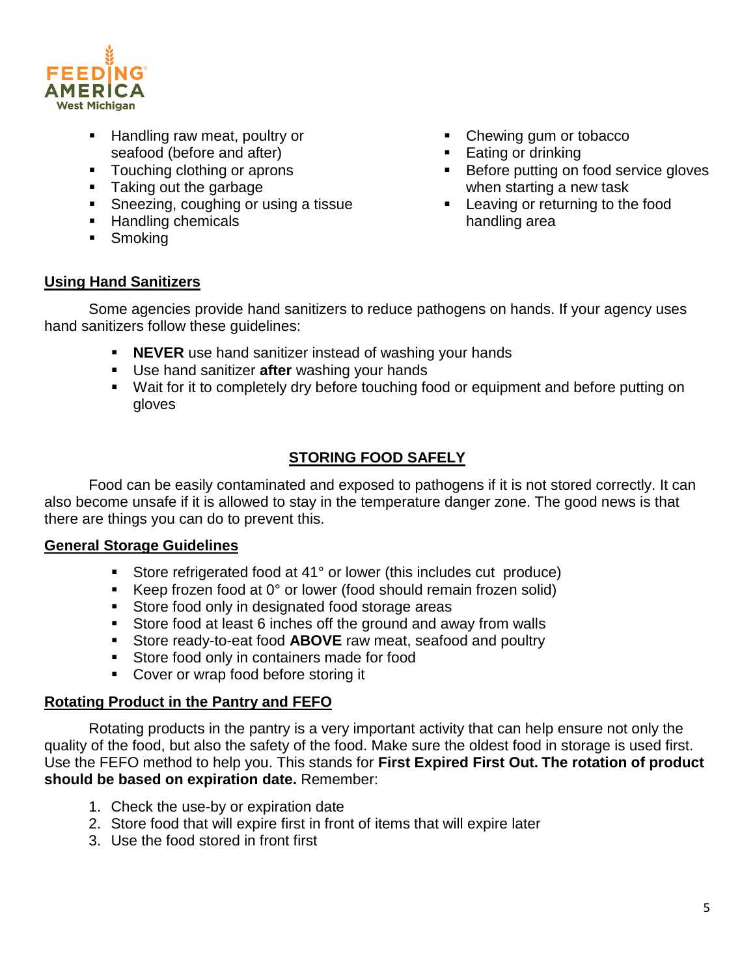

- Handling raw meat, poultry or seafood (before and after)
- **Touching clothing or aprons**
- **Taking out the garbage**
- **Sneezing, coughing or using a tissue**
- **Handling chemicals**
- **Smoking**
- Chewing gum or tobacco
- **Eating or drinking**
- Before putting on food service gloves when starting a new task
- **Leaving or returning to the food** handling area

#### **Using Hand Sanitizers**

Some agencies provide hand sanitizers to reduce pathogens on hands. If your agency uses hand sanitizers follow these guidelines:

- **NEVER** use hand sanitizer instead of washing your hands
- Use hand sanitizer **after** washing your hands
- Wait for it to completely dry before touching food or equipment and before putting on gloves

### **STORING FOOD SAFELY**

Food can be easily contaminated and exposed to pathogens if it is not stored correctly. It can also become unsafe if it is allowed to stay in the temperature danger zone. The good news is that there are things you can do to prevent this.

#### **General Storage Guidelines**

- Store refrigerated food at 41° or lower (this includes cut produce)
- Keep frozen food at  $0^{\circ}$  or lower (food should remain frozen solid)
- Store food only in designated food storage areas
- Store food at least 6 inches off the ground and away from walls
- Store ready-to-eat food **ABOVE** raw meat, seafood and poultry
- **Store food only in containers made for food**
- **Cover or wrap food before storing it**

#### **Rotating Product in the Pantry and FEFO**

Rotating products in the pantry is a very important activity that can help ensure not only the quality of the food, but also the safety of the food. Make sure the oldest food in storage is used first. Use the FEFO method to help you. This stands for **First Expired First Out. The rotation of product should be based on expiration date.** Remember:

- 1. Check the use-by or expiration date
- 2. Store food that will expire first in front of items that will expire later
- 3. Use the food stored in front first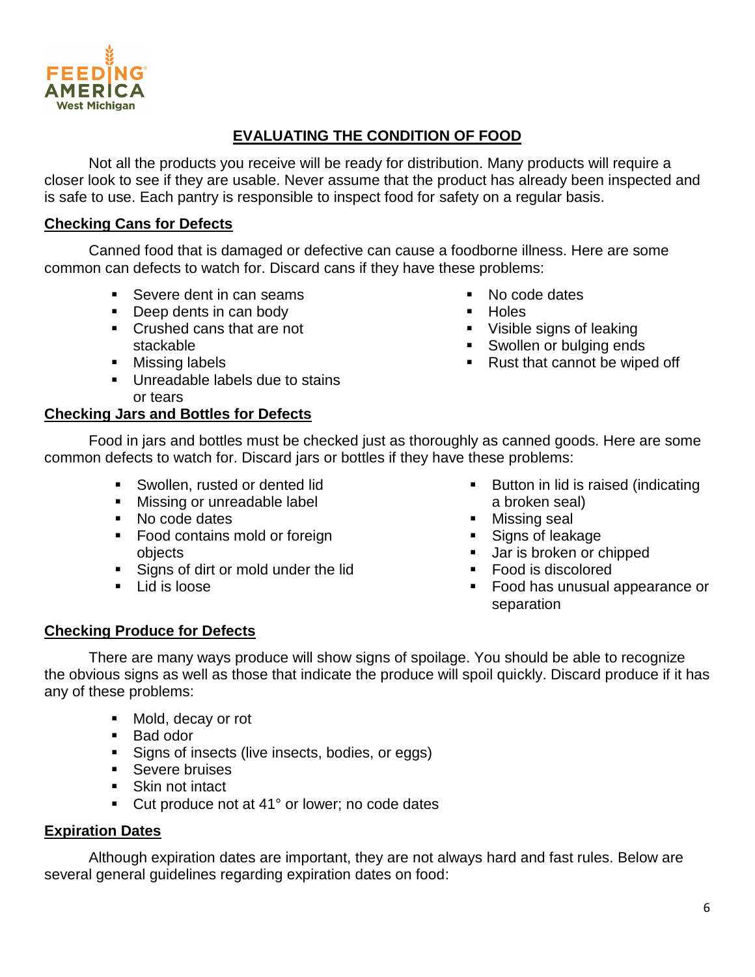## **EVALUATING THE CONDITION OF FOOD**

Not all the products you receive will be ready for distribution. Many products will require a closer look to see if they are usable. Never assume that the product has already been inspected and is safe to use. Each pantry is responsible to inspect food for safety on a regular basis.

#### **Checking Cans for Defects**

Canned food that is damaged or defective can cause a foodborne illness. Here are some common can defects to watch for. Discard cans if they have these problems:

- Severe dent in can seams
- Deep dents in can body
- Crushed cans that are not stackable
- Missing labels
- **Unreadable labels due to stains** or tears

#### **Checking Jars and Bottles for Defects**

Food in jars and bottles must be checked just as thoroughly as canned goods. Here are some common defects to watch for. Discard jars or bottles if they have these problems:

- **Swollen, rusted or dented lid**
- **Missing or unreadable label**
- No code dates
- Food contains mold or foreign objects
- Signs of dirt or mold under the lid
- $\blacksquare$  Lid is loose
- Button in lid is raised (indicating a broken seal)
- **Missing seal**
- Signs of leakage
- **Jar is broken or chipped**
- Food is discolored
- **Food has unusual appearance or** separation

#### **Checking Produce for Defects**

There are many ways produce will show signs of spoilage. You should be able to recognize the obvious signs as well as those that indicate the produce will spoil quickly. Discard produce if it has any of these problems:

- Mold, decay or rot
- Bad odor
- Signs of insects (live insects, bodies, or eggs)
- Severe bruises
- **Skin not intact**
- Cut produce not at 41° or lower; no code dates

#### **Expiration Dates**

Although expiration dates are important, they are not always hard and fast rules. Below are several general guidelines regarding expiration dates on food:



• No code dates

- **Holes**
- Visible signs of leaking
- Swollen or bulging ends
- Rust that cannot be wiped off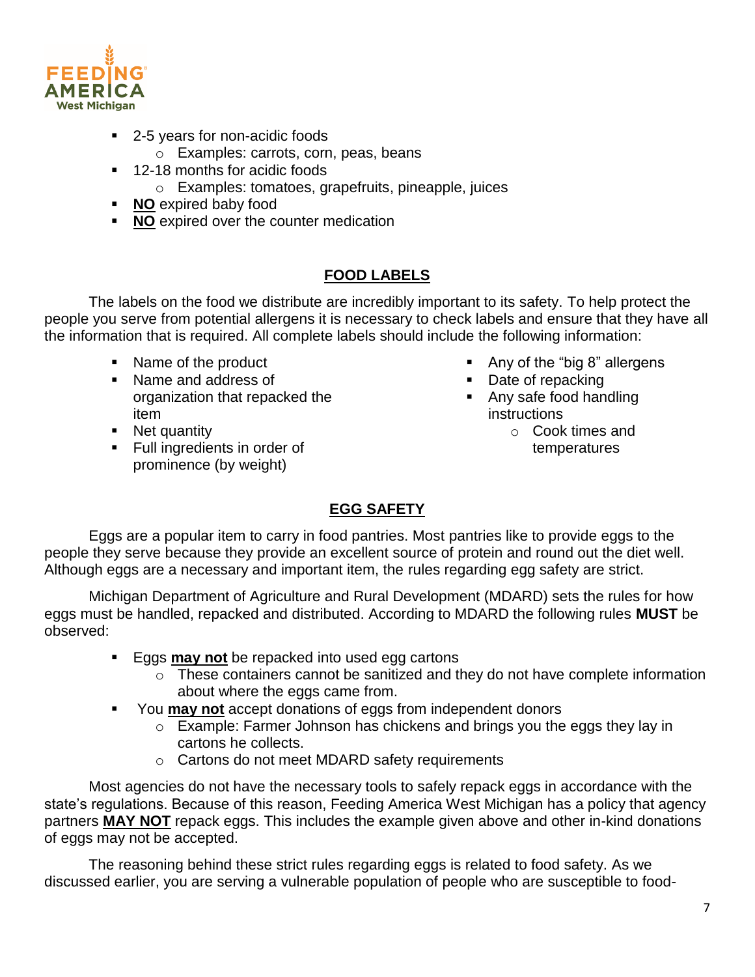

- 2-5 years for non-acidic foods
	- o Examples: carrots, corn, peas, beans
- <sup>1</sup> 12-18 months for acidic foods
	- o Examples: tomatoes, grapefruits, pineapple, juices
- **NO** expired baby food
- **NO** expired over the counter medication

## **FOOD LABELS**

The labels on the food we distribute are incredibly important to its safety. To help protect the people you serve from potential allergens it is necessary to check labels and ensure that they have all the information that is required. All complete labels should include the following information:

- Name of the product
- Name and address of organization that repacked the item
- Net quantity
- **Full ingredients in order of** prominence (by weight)
- Any of the "big 8" allergens
- Date of repacking
- Any safe food handling instructions
	- o Cook times and temperatures

## **EGG SAFETY**

Eggs are a popular item to carry in food pantries. Most pantries like to provide eggs to the people they serve because they provide an excellent source of protein and round out the diet well. Although eggs are a necessary and important item, the rules regarding egg safety are strict.

Michigan Department of Agriculture and Rural Development (MDARD) sets the rules for how eggs must be handled, repacked and distributed. According to MDARD the following rules **MUST** be observed:

- **Eggs may not** be repacked into used egg cartons
	- o These containers cannot be sanitized and they do not have complete information about where the eggs came from.
- You **may not** accept donations of eggs from independent donors
	- o Example: Farmer Johnson has chickens and brings you the eggs they lay in cartons he collects.
	- o Cartons do not meet MDARD safety requirements

Most agencies do not have the necessary tools to safely repack eggs in accordance with the state's regulations. Because of this reason, Feeding America West Michigan has a policy that agency partners **MAY NOT** repack eggs. This includes the example given above and other in-kind donations of eggs may not be accepted.

The reasoning behind these strict rules regarding eggs is related to food safety. As we discussed earlier, you are serving a vulnerable population of people who are susceptible to food-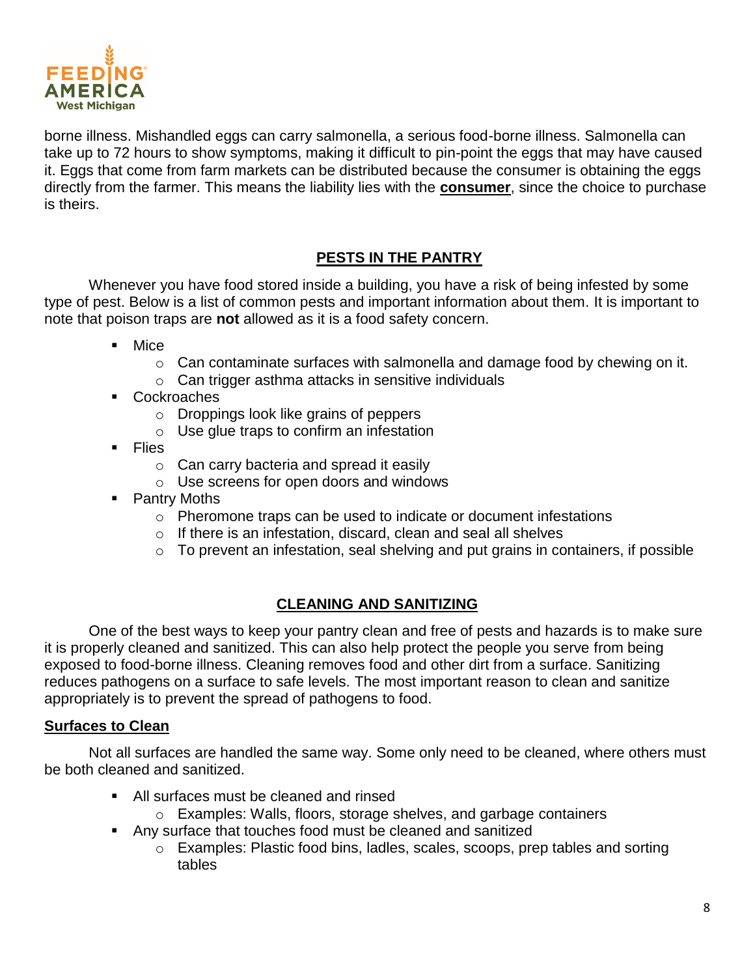

borne illness. Mishandled eggs can carry salmonella, a serious food-borne illness. Salmonella can take up to 72 hours to show symptoms, making it difficult to pin-point the eggs that may have caused it. Eggs that come from farm markets can be distributed because the consumer is obtaining the eggs directly from the farmer. This means the liability lies with the **consumer**, since the choice to purchase is theirs.

## **PESTS IN THE PANTRY**

Whenever you have food stored inside a building, you have a risk of being infested by some type of pest. Below is a list of common pests and important information about them. It is important to note that poison traps are **not** allowed as it is a food safety concern.

- Mice
	- $\circ$  Can contaminate surfaces with salmonella and damage food by chewing on it.
	- o Can trigger asthma attacks in sensitive individuals
- Cockroaches
	- o Droppings look like grains of peppers
	- o Use glue traps to confirm an infestation
- **Flies** 
	- $\circ$  Can carry bacteria and spread it easily
	- o Use screens for open doors and windows
- Pantry Moths
	- o Pheromone traps can be used to indicate or document infestations
	- o If there is an infestation, discard, clean and seal all shelves
	- $\circ$  To prevent an infestation, seal shelving and put grains in containers, if possible

## **CLEANING AND SANITIZING**

One of the best ways to keep your pantry clean and free of pests and hazards is to make sure it is properly cleaned and sanitized. This can also help protect the people you serve from being exposed to food-borne illness. Cleaning removes food and other dirt from a surface. Sanitizing reduces pathogens on a surface to safe levels. The most important reason to clean and sanitize appropriately is to prevent the spread of pathogens to food.

#### **Surfaces to Clean**

Not all surfaces are handled the same way. Some only need to be cleaned, where others must be both cleaned and sanitized.

- All surfaces must be cleaned and rinsed
	- o Examples: Walls, floors, storage shelves, and garbage containers
- Any surface that touches food must be cleaned and sanitized
	- o Examples: Plastic food bins, ladles, scales, scoops, prep tables and sorting tables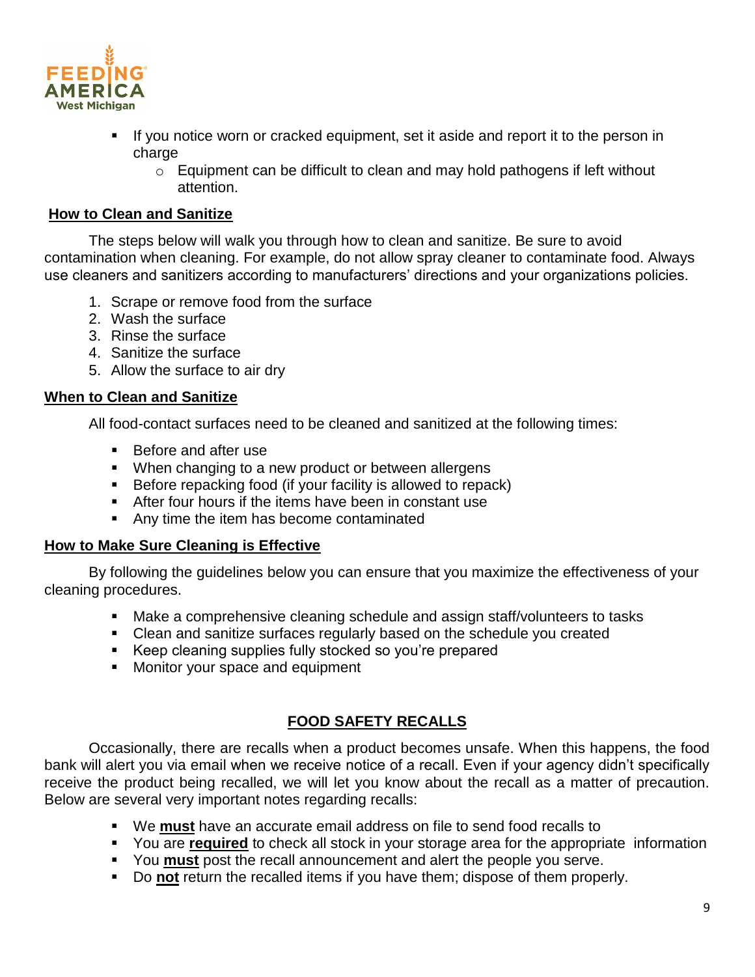

- If you notice worn or cracked equipment, set it aside and report it to the person in charge
	- o Equipment can be difficult to clean and may hold pathogens if left without attention.

#### **How to Clean and Sanitize**

The steps below will walk you through how to clean and sanitize. Be sure to avoid contamination when cleaning. For example, do not allow spray cleaner to contaminate food. Always use cleaners and sanitizers according to manufacturers' directions and your organizations policies.

- 1. Scrape or remove food from the surface
- 2. Wash the surface
- 3. Rinse the surface
- 4. Sanitize the surface
- 5. Allow the surface to air dry

#### **When to Clean and Sanitize**

All food-contact surfaces need to be cleaned and sanitized at the following times:

- Before and after use
- **When changing to a new product or between allergens**
- **Before repacking food (if your facility is allowed to repack)**
- After four hours if the items have been in constant use
- Any time the item has become contaminated

#### **How to Make Sure Cleaning is Effective**

By following the guidelines below you can ensure that you maximize the effectiveness of your cleaning procedures.

- Make a comprehensive cleaning schedule and assign staff/volunteers to tasks
- Clean and sanitize surfaces regularly based on the schedule you created
- Keep cleaning supplies fully stocked so you're prepared
- **Monitor your space and equipment**

#### **FOOD SAFETY RECALLS**

Occasionally, there are recalls when a product becomes unsafe. When this happens, the food bank will alert you via email when we receive notice of a recall. Even if your agency didn't specifically receive the product being recalled, we will let you know about the recall as a matter of precaution. Below are several very important notes regarding recalls:

- We **must** have an accurate email address on file to send food recalls to
- You are **required** to check all stock in your storage area for the appropriate information
- You **must** post the recall announcement and alert the people you serve.
- Do **not** return the recalled items if you have them; dispose of them properly.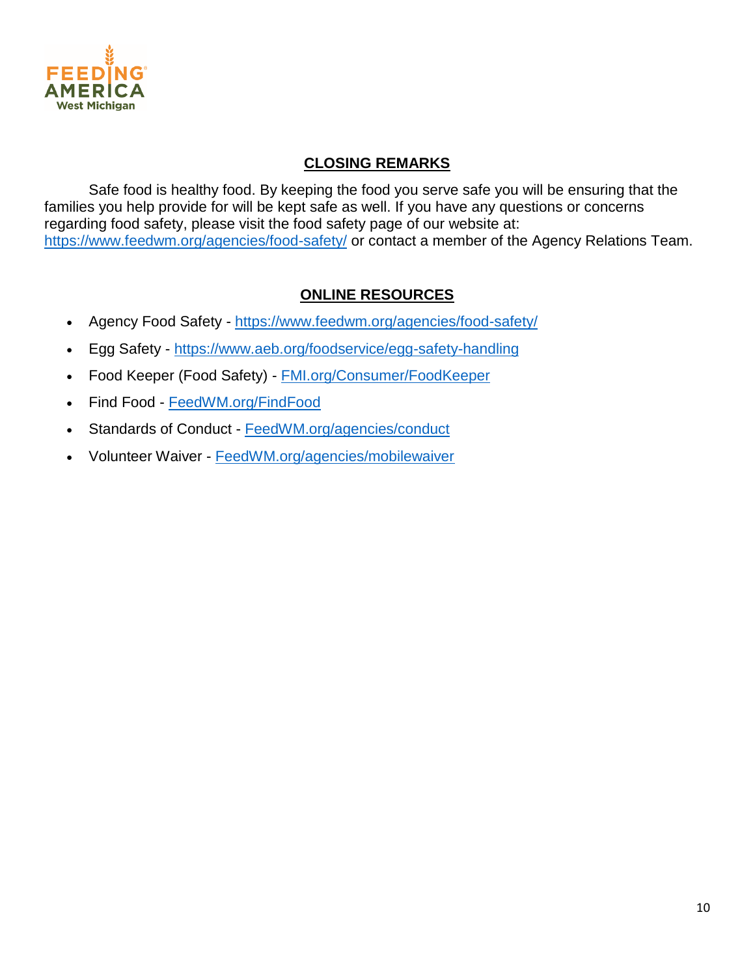

## **CLOSING REMARKS**

Safe food is healthy food. By keeping the food you serve safe you will be ensuring that the families you help provide for will be kept safe as well. If you have any questions or concerns regarding food safety, please visit the food safety page of our website at: <https://www.feedwm.org/agencies/food-safety/> or contact a member of the Agency Relations Team.

## **ONLINE RESOURCES**

- Agency Food Safety <https://www.feedwm.org/agencies/food-safety/>
- Egg Safety <https://www.aeb.org/foodservice/egg-safety-handling>
- Food Keeper (Food Safety) [FMI.org/Consumer/FoodKeeper](http://www.fmi.org/Consumer/FoodKeeper)
- Find Food [FeedWM.org/FindFood](http://www.feedwm.org/FindFood)
- Standards of Conduct [FeedWM.org/agencies/conduct](http://www.feedwm.org/agencies/conduct)
- Volunteer Waiver [FeedWM.org/agencies/mobilewaiver](http://www.feedwm.org/agencies/mobilewaiver)